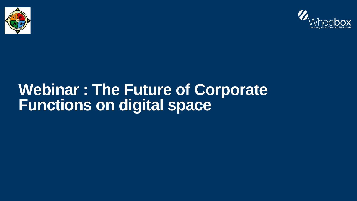

## **Webinar : The Future of Corporate Functions on digital space**

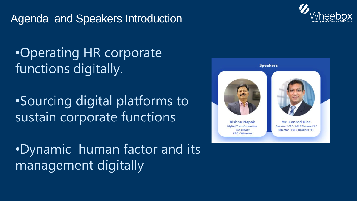### Agenda and Speakers Introduction

•Operating HR corporate functions digitally.

•Sourcing digital platforms to sustain corporate functions

•Dynamic human factor and its management digitally



#### **Speakers**



**Bishnu Nepak Digital Transformation** Consultant, **CRO - Wheebox** 

**Mr. Conrad Dias** Director / CEO- LOLC Finance PLC **Director - LOLC Holdings PLC**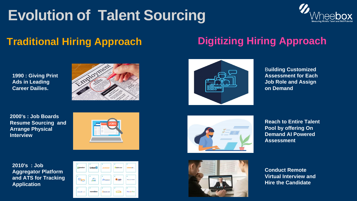**1990 : Giving Print Ads in Leading Career Dailies.** 



**2000's : Job Boards Resume Sourcing and Arrange Physical Interview** 



# **Evolution of Talent Sourcing Traditional Hiring Approach Digitizing Hiring Approach**

**2010's : Job Aggregator Platform and ATS for Tracking Application** 







B**uilding Customized Assessment for Each Job Role and Assign on Demand** 



**Reach to Entire Talent Pool by offering On Demand AI Powered Assessment** 



**Conduct Remote Virtual Interview and Hire the Candidate**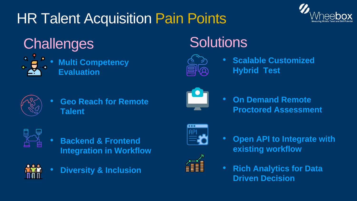## **HR Talent Acquisition Pain Points**

## Challenges



**Multi Competency<br>Evaluation** 



**Geo Reach for Remote Talent** 



- **Backend & Frontend Integration in Workflow**
- **Diversity & Inclusion**





## Solutions



**Scalable Customized Hybrid Test** 



**On Demand Remote Proctored Assessment** 



8888

- **Open API to Integrate with** existing workflow
- **Rich Analytics for Data Driven Decision**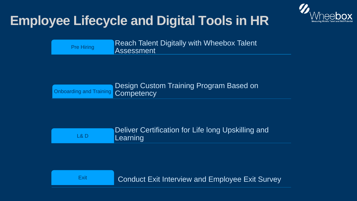## **Employee Lifecycle and Digital Tools in HR**

Reach Talent Digitally with Wheebox Talent Pre Hiring Assessment

Onboarding and Training Competency

Deliver Certification for Life long Upskilling and L& D Learning

Exit Conduct Exit Interview and Employee Exit Survey



Design Custom Training Program Based on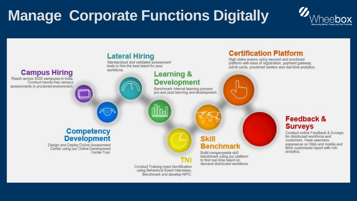## **Manage Corporate Functions Digitally**



Standardized and validated assessment tools to hire the best talent for your workforce.

### **Campus Hiring**

Reach across 5200 campuses in India,<br>Conduct hassle free campus assessments in proctored environment.

#### **Competency Development**

Design and Deploy Online Assessment<br>Center using our Online Development Center Tool

> Conduct Training need identification<br>using Behavioral Event Interviews, Benchmark and develop HiPO.



### **Learning & Development**

Benchmark internal learning process<br>pre and post learning and development.

### **Certification Platform**

High stake exams using secured and proctored<br>platform with ease of registration, payment gateway, admit cards, proctored centers and real time analytics.

#### Skill **Benchmark**

Build companywide skill benchmark using our platform<br>to find real time talent on demand distributed workforce.

### **Feedback & Surveys**

Conduct online Feedback & Surveys customers. Have seamless experience on Web and mobile and fetch customized report with rich analytics.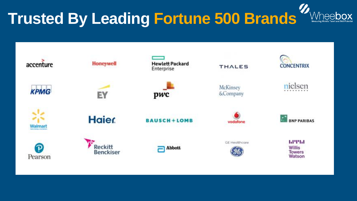# **Trusted By Leading Fortune 500 Brands**





**Abbott** 

**THALES** 

McKinsey &Company



**GE Healthcare** 





nielsen



1.17151 Willis **Towers** Watson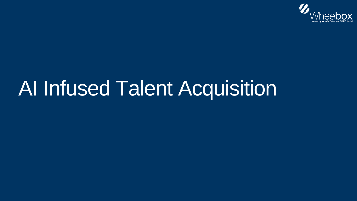# AI Infused Talent Acquisition

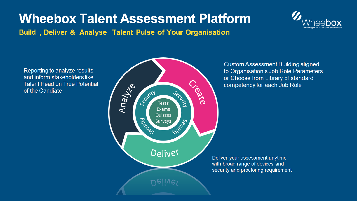### **Wheebox Talent Assessment Platform** Build, Deliver & Analyse Talent Pulse of Your Organisation

Reporting to analyze results and inform stakeholders like **Talent Head on True Potential** of the Candiate





**Custom Assessment Building aligned** to Organisation's Job Role Parameters or Choose from Library of standard competency for each Job Role

Secritis

**Kaliman** 

Ceate

Deliver your assessment anytime with broad range of devices and security and proctoring requirement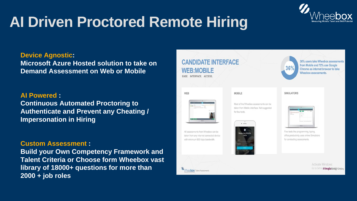## **AI Driven Proctored Remote Hiring**

Most of the Wheebox assessments can be taken from Mobile interface. Not suggested Role





36% users take Wheebox assessments from Mobile and 72% use Google Chrome as internet browser to take Wheebox assessments.

#### **SIMULATORS** Hiring for

| <b>STAR</b>                                                  |
|--------------------------------------------------------------|
| the contract of the contract of<br>×<br>ö<br>h an<br>_______ |
|                                                              |

Few tests like programming, typing, office productivity uses online Simulators for conducting assessments.

> **Activate Windows** Go to Settingst PeopleStrong Company





**Device Agnostic:** 

**Microsoft Azure Hosted solution to take on Demand Assessment on Web or Mobile**

**AI Powered : Continuous Automated Proctoring to Authenticate and Prevent any Cheating / Impersonation in Hiring** 

**Custom Assessment :** 

**Build your Own Competency Framework and Talent Criteria or Choose form Wheebox vast library of 18000+ questions for more than 2000 + job roles**



### **CANDIDATE INTERFACE WEB:MOBILE**

EASE, INTERFACE, ACCESS,

**WEB** 

| a ya ma |  |
|---------|--|
|         |  |
|         |  |
|         |  |

All assessments from Wheebox can be taken from any internet connected device with minimum 500 kbps bandwidth.

#### MOBILE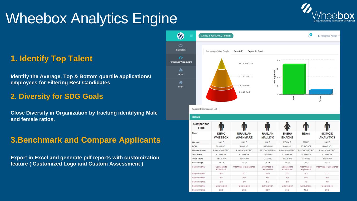## Wheebox Analytics Engine

### **1. Identify Top Talent**

**Identify the Average, Top & Bottom quartile applications/ employees for Filtering Best Candidates** 

### **2. Diversity for SDG Goals**

**Close Diversity in Organization by tracking identifying Male and female ratios.** 

### **3.Benchmark and Compare Applicants**

**Export in Excel and generate pdf reports with customization feature ( Customized Logo and Custom Assessment )**





**Applicant Comparison List** 

#### **Result**

| Comparison<br>Field<br>Name | J . L<br><b>DEMO</b><br><b>WHEEBOX</b> | <b>NIRANJAN</b><br><b>WAGHMARE</b> | u.u<br><b>RANJAN</b><br><b>MALLICK</b> | <b>SNEHA</b><br><b>BHADKE</b> | Ш<br><b>BDAS</b>          | <b>SIGMOID</b><br><b>ANALYTICS</b> |
|-----------------------------|----------------------------------------|------------------------------------|----------------------------------------|-------------------------------|---------------------------|------------------------------------|
|                             |                                        |                                    |                                        |                               |                           |                                    |
| <b>DOB</b>                  | 2019-03-01                             | 1990-01-01                         | 1990-01-01                             | 1990-01-01                    | 2019-01-09                | 1990-01-01                         |
| <b>Domain Name</b>          | <b>PSYCHOMETRIC</b>                    | <b>PSYCHOMETRIC</b>                | <b>PSYCHOMETRIC</b>                    | <b>PSYCHOMETRIC</b>           | <b>PSYCHOMETRIC</b>       | <b>PSYCHOMETRIC</b>                |
| <b>Test Name</b>            | <b>COMPASS</b>                         | <b>COMPASS</b>                     | <b>COMPASS</b>                         | <b>COMPASS</b>                | <b>COMPASS</b>            | <b>COMPASS</b>                     |
| <b>Total Score</b>          | 134.0/160                              | 127.0/160                          | 122.0/160                              | 119.0/160                     | 117.0/160                 | 112.0/159                          |
| Percentage                  | 83.75                                  | 79.38                              | 76.25                                  | 74.38                         | 73.12                     | 70.44                              |
| Section Name                | Openness to<br>Experience              | Openness to Experience             | Openness to<br>Experience              | Openness to<br>Experience     | Openness to<br>Experience | Openness to Experier               |
| Section Marks               | 26.0                                   | 28.0                               | 25.0                                   | 23.0                          | 24.0                      | 21.0                               |
| Section Name                | null                                   | null                               | null                                   | null                          | nuil                      | null                               |
| Section Marks               | 8.0                                    | 6.0                                | 5.0                                    | 5.0                           | 5.0                       | 4.0                                |
| Section Name                | Extraversion                           | Extraversion                       | Extraversion                           | Extraversion                  | Extraversion              | Extraversion                       |
| Section Marks               | 22.0                                   | 23.0                               | 26.0                                   | 21.0                          | 18.0                      | 20.0                               |

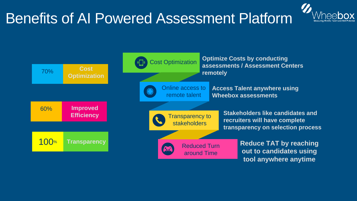### Benefits of AI Powered Assessment Platform

**out to candidates using tool anywhere anytime**

**Stakeholders like candidates and recruiters will have complete transparency on selection process**



Transparency to **stakeholders** 

**Access Talent anywhere using Wheebox assessments**





**Optimize Costs by conducting assessments / Assessment Centers remotely**

Cost Optimization

Online access to remote talent

> Reduced Turn around Time